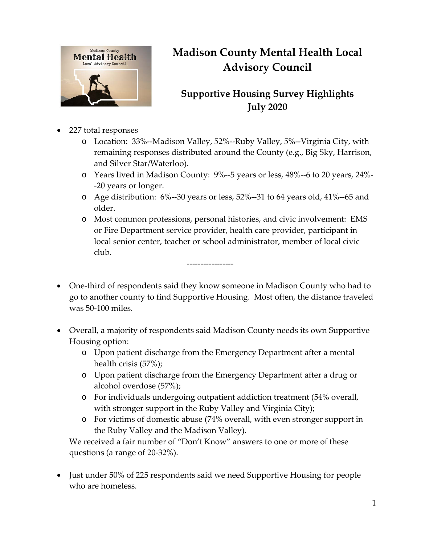

## **Madison County Mental Health Local Advisory Council**

## **Supportive Housing Survey Highlights July 2020**

- 227 total responses
	- o Location: 33%--Madison Valley, 52%--Ruby Valley, 5%--Virginia City, with remaining responses distributed around the County (e.g., Big Sky, Harrison, and Silver Star/Waterloo).
	- o Years lived in Madison County: 9%--5 years or less, 48%--6 to 20 years, 24%- -20 years or longer.
	- o Age distribution: 6%--30 years or less, 52%--31 to 64 years old, 41%--65 and older.
	- o Most common professions, personal histories, and civic involvement: EMS or Fire Department service provider, health care provider, participant in local senior center, teacher or school administrator, member of local civic club.
- One-third of respondents said they know someone in Madison County who had to go to another county to find Supportive Housing. Most often, the distance traveled was 50-100 miles.

-----------------

- Overall, a majority of respondents said Madison County needs its own Supportive Housing option:
	- o Upon patient discharge from the Emergency Department after a mental health crisis (57%);
	- o Upon patient discharge from the Emergency Department after a drug or alcohol overdose (57%);
	- o For individuals undergoing outpatient addiction treatment (54% overall, with stronger support in the Ruby Valley and Virginia City);
	- o For victims of domestic abuse (74% overall, with even stronger support in the Ruby Valley and the Madison Valley).

We received a fair number of "Don't Know" answers to one or more of these questions (a range of 20-32%).

• Just under 50% of 225 respondents said we need Supportive Housing for people who are homeless.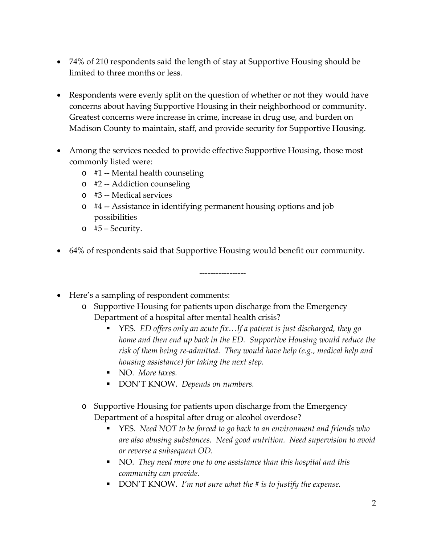- 74% of 210 respondents said the length of stay at Supportive Housing should be limited to three months or less.
- Respondents were evenly split on the question of whether or not they would have concerns about having Supportive Housing in their neighborhood or community. Greatest concerns were increase in crime, increase in drug use, and burden on Madison County to maintain, staff, and provide security for Supportive Housing.
- Among the services needed to provide effective Supportive Housing, those most commonly listed were:
	- o #1 -- Mental health counseling
	- o #2 -- Addiction counseling
	- o #3 -- Medical services
	- o #4 -- Assistance in identifying permanent housing options and job possibilities
	- o #5 Security.
- 64% of respondents said that Supportive Housing would benefit our community.

• Here's a sampling of respondent comments:

o Supportive Housing for patients upon discharge from the Emergency Department of a hospital after mental health crisis?

-----------------

- YES. *ED offers only an acute fix...If a patient is just discharged, they go home and then end up back in the ED. Supportive Housing would reduce the risk of them being re-admitted. They would have help (e.g., medical help and housing assistance) for taking the next step.*
- NO. *More taxes.*
- DON'T KNOW. *Depends on numbers.*
- o Supportive Housing for patients upon discharge from the Emergency Department of a hospital after drug or alcohol overdose?
	- YES. *Need NOT to be forced to go back to an environment and friends who are also abusing substances. Need good nutrition. Need supervision to avoid or reverse a subsequent OD.*
	- NO. *They need more one to one assistance than this hospital and this community can provide.*
	- DON'T KNOW. *I'm not sure what the # is to justify the expense.*